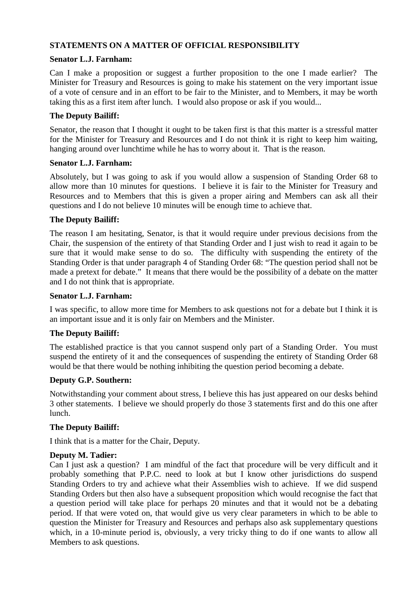# **STATEMENTS ON A MATTER OF OFFICIAL RESPONSIBILITY**

## **Senator L.J. Farnham:**

Can I make a proposition or suggest a further proposition to the one I made earlier? The Minister for Treasury and Resources is going to make his statement on the very important issue of a vote of censure and in an effort to be fair to the Minister, and to Members, it may be worth taking this as a first item after lunch. I would also propose or ask if you would...

## **The Deputy Bailiff:**

Senator, the reason that I thought it ought to be taken first is that this matter is a stressful matter for the Minister for Treasury and Resources and I do not think it is right to keep him waiting, hanging around over lunchtime while he has to worry about it. That is the reason.

#### **Senator L.J. Farnham:**

Absolutely, but I was going to ask if you would allow a suspension of Standing Order 68 to allow more than 10 minutes for questions. I believe it is fair to the Minister for Treasury and Resources and to Members that this is given a proper airing and Members can ask all their questions and I do not believe 10 minutes will be enough time to achieve that.

## **The Deputy Bailiff:**

The reason I am hesitating, Senator, is that it would require under previous decisions from the Chair, the suspension of the entirety of that Standing Order and I just wish to read it again to be sure that it would make sense to do so. The difficulty with suspending the entirety of the Standing Order is that under paragraph 4 of Standing Order 68: "The question period shall not be made a pretext for debate." It means that there would be the possibility of a debate on the matter and I do not think that is appropriate.

#### **Senator L.J. Farnham:**

I was specific, to allow more time for Members to ask questions not for a debate but I think it is an important issue and it is only fair on Members and the Minister.

## **The Deputy Bailiff:**

The established practice is that you cannot suspend only part of a Standing Order. You must suspend the entirety of it and the consequences of suspending the entirety of Standing Order 68 would be that there would be nothing inhibiting the question period becoming a debate.

## **Deputy G.P. Southern:**

Notwithstanding your comment about stress, I believe this has just appeared on our desks behind 3 other statements. I believe we should properly do those 3 statements first and do this one after lunch.

## **The Deputy Bailiff:**

I think that is a matter for the Chair, Deputy.

## **Deputy M. Tadier:**

Can I just ask a question? I am mindful of the fact that procedure will be very difficult and it probably something that P.P.C. need to look at but I know other jurisdictions do suspend Standing Orders to try and achieve what their Assemblies wish to achieve. If we did suspend Standing Orders but then also have a subsequent proposition which would recognise the fact that a question period will take place for perhaps 20 minutes and that it would not be a debating period. If that were voted on, that would give us very clear parameters in which to be able to question the Minister for Treasury and Resources and perhaps also ask supplementary questions which, in a 10-minute period is, obviously, a very tricky thing to do if one wants to allow all Members to ask questions.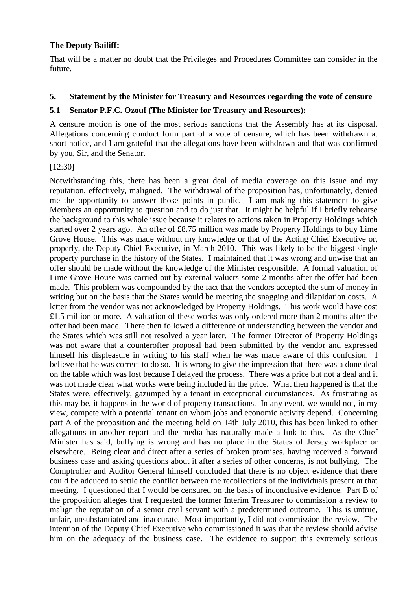## **The Deputy Bailiff:**

That will be a matter no doubt that the Privileges and Procedures Committee can consider in the future.

## **5. Statement by the Minister for Treasury and Resources regarding the vote of censure**

## **5.1 Senator P.F.C. Ozouf (The Minister for Treasury and Resources):**

A censure motion is one of the most serious sanctions that the Assembly has at its disposal. Allegations concerning conduct form part of a vote of censure, which has been withdrawn at short notice, and I am grateful that the allegations have been withdrawn and that was confirmed by you, Sir, and the Senator.

#### [12:30]

Notwithstanding this, there has been a great deal of media coverage on this issue and my reputation, effectively, maligned. The withdrawal of the proposition has, unfortunately, denied me the opportunity to answer those points in public. I am making this statement to give Members an opportunity to question and to do just that. It might be helpful if I briefly rehearse the background to this whole issue because it relates to actions taken in Property Holdings which started over 2 years ago. An offer of £8.75 million was made by Property Holdings to buy Lime Grove House. This was made without my knowledge or that of the Acting Chief Executive or, properly, the Deputy Chief Executive, in March 2010. This was likely to be the biggest single property purchase in the history of the States. I maintained that it was wrong and unwise that an offer should be made without the knowledge of the Minister responsible. A formal valuation of Lime Grove House was carried out by external valuers some 2 months after the offer had been made. This problem was compounded by the fact that the vendors accepted the sum of money in writing but on the basis that the States would be meeting the snagging and dilapidation costs. A letter from the vendor was not acknowledged by Property Holdings. This work would have cost £1.5 million or more. A valuation of these works was only ordered more than 2 months after the offer had been made. There then followed a difference of understanding between the vendor and the States which was still not resolved a year later. The former Director of Property Holdings was not aware that a counteroffer proposal had been submitted by the vendor and expressed himself his displeasure in writing to his staff when he was made aware of this confusion. I believe that he was correct to do so. It is wrong to give the impression that there was a done deal on the table which was lost because I delayed the process. There was a price but not a deal and it was not made clear what works were being included in the price. What then happened is that the States were, effectively, gazumped by a tenant in exceptional circumstances. As frustrating as this may be, it happens in the world of property transactions. In any event, we would not, in my view, compete with a potential tenant on whom jobs and economic activity depend. Concerning part A of the proposition and the meeting held on 14th July 2010, this has been linked to other allegations in another report and the media has naturally made a link to this. As the Chief Minister has said, bullying is wrong and has no place in the States of Jersey workplace or elsewhere. Being clear and direct after a series of broken promises, having received a forward business case and asking questions about it after a series of other concerns, is not bullying. The Comptroller and Auditor General himself concluded that there is no object evidence that there could be adduced to settle the conflict between the recollections of the individuals present at that meeting. I questioned that I would be censured on the basis of inconclusive evidence. Part B of the proposition alleges that I requested the former Interim Treasurer to commission a review to malign the reputation of a senior civil servant with a predetermined outcome. This is untrue, unfair, unsubstantiated and inaccurate. Most importantly, I did not commission the review. The intention of the Deputy Chief Executive who commissioned it was that the review should advise him on the adequacy of the business case. The evidence to support this extremely serious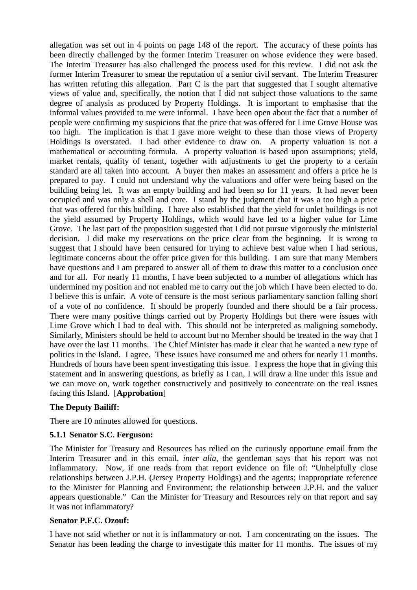allegation was set out in 4 points on page 148 of the report. The accuracy of these points has been directly challenged by the former Interim Treasurer on whose evidence they were based. The Interim Treasurer has also challenged the process used for this review. I did not ask the former Interim Treasurer to smear the reputation of a senior civil servant. The Interim Treasurer has written refuting this allegation. Part C is the part that suggested that I sought alternative views of value and, specifically, the notion that I did not subject those valuations to the same degree of analysis as produced by Property Holdings. It is important to emphasise that the informal values provided to me were informal. I have been open about the fact that a number of people were confirming my suspicions that the price that was offered for Lime Grove House was too high. The implication is that I gave more weight to these than those views of Property Holdings is overstated. I had other evidence to draw on. A property valuation is not a mathematical or accounting formula. A property valuation is based upon assumptions; yield, market rentals, quality of tenant, together with adjustments to get the property to a certain standard are all taken into account. A buyer then makes an assessment and offers a price he is prepared to pay. I could not understand why the valuations and offer were being based on the building being let. It was an empty building and had been so for 11 years. It had never been occupied and was only a shell and core. I stand by the judgment that it was a too high a price that was offered for this building. I have also established that the yield for unlet buildings is not the yield assumed by Property Holdings, which would have led to a higher value for Lime Grove. The last part of the proposition suggested that I did not pursue vigorously the ministerial decision. I did make my reservations on the price clear from the beginning. It is wrong to suggest that I should have been censured for trying to achieve best value when I had serious, legitimate concerns about the offer price given for this building. I am sure that many Members have questions and I am prepared to answer all of them to draw this matter to a conclusion once and for all. For nearly 11 months, I have been subjected to a number of allegations which has undermined my position and not enabled me to carry out the job which I have been elected to do. I believe this is unfair. A vote of censure is the most serious parliamentary sanction falling short of a vote of no confidence. It should be properly founded and there should be a fair process. There were many positive things carried out by Property Holdings but there were issues with Lime Grove which I had to deal with. This should not be interpreted as maligning somebody. Similarly, Ministers should be held to account but no Member should be treated in the way that I have over the last 11 months. The Chief Minister has made it clear that he wanted a new type of politics in the Island. I agree. These issues have consumed me and others for nearly 11 months. Hundreds of hours have been spent investigating this issue. I express the hope that in giving this statement and in answering questions, as briefly as I can, I will draw a line under this issue and we can move on, work together constructively and positively to concentrate on the real issues facing this Island. [**Approbation**]

## **The Deputy Bailiff:**

There are 10 minutes allowed for questions.

## **5.1.1 Senator S.C. Ferguson:**

The Minister for Treasury and Resources has relied on the curiously opportune email from the Interim Treasurer and in this email, *inter alia*, the gentleman says that his report was not inflammatory. Now, if one reads from that report evidence on file of: "Unhelpfully close relationships between J.P.H. (Jersey Property Holdings) and the agents; inappropriate reference to the Minister for Planning and Environment; the relationship between J.P.H. and the valuer appears questionable." Can the Minister for Treasury and Resources rely on that report and say it was not inflammatory?

#### **Senator P.F.C. Ozouf:**

I have not said whether or not it is inflammatory or not. I am concentrating on the issues. The Senator has been leading the charge to investigate this matter for 11 months. The issues of my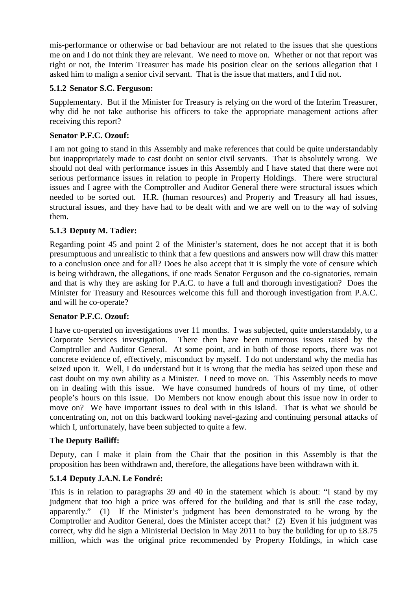mis-performance or otherwise or bad behaviour are not related to the issues that she questions me on and I do not think they are relevant. We need to move on. Whether or not that report was right or not, the Interim Treasurer has made his position clear on the serious allegation that I asked him to malign a senior civil servant. That is the issue that matters, and I did not.

#### **5.1.2 Senator S.C. Ferguson:**

Supplementary. But if the Minister for Treasury is relying on the word of the Interim Treasurer, why did he not take authorise his officers to take the appropriate management actions after receiving this report?

#### **Senator P.F.C. Ozouf:**

I am not going to stand in this Assembly and make references that could be quite understandably but inappropriately made to cast doubt on senior civil servants. That is absolutely wrong. We should not deal with performance issues in this Assembly and I have stated that there were not serious performance issues in relation to people in Property Holdings. There were structural issues and I agree with the Comptroller and Auditor General there were structural issues which needed to be sorted out. H.R. (human resources) and Property and Treasury all had issues, structural issues, and they have had to be dealt with and we are well on to the way of solving them.

## **5.1.3 Deputy M. Tadier:**

Regarding point 45 and point 2 of the Minister's statement, does he not accept that it is both presumptuous and unrealistic to think that a few questions and answers now will draw this matter to a conclusion once and for all? Does he also accept that it is simply the vote of censure which is being withdrawn, the allegations, if one reads Senator Ferguson and the co-signatories, remain and that is why they are asking for P.A.C. to have a full and thorough investigation? Does the Minister for Treasury and Resources welcome this full and thorough investigation from P.A.C. and will he co-operate?

## **Senator P.F.C. Ozouf:**

I have co-operated on investigations over 11 months. I was subjected, quite understandably, to a Corporate Services investigation. There then have been numerous issues raised by the Comptroller and Auditor General. At some point, and in both of those reports, there was not concrete evidence of, effectively, misconduct by myself. I do not understand why the media has seized upon it. Well, I do understand but it is wrong that the media has seized upon these and cast doubt on my own ability as a Minister. I need to move on. This Assembly needs to move on in dealing with this issue. We have consumed hundreds of hours of my time, of other people's hours on this issue. Do Members not know enough about this issue now in order to move on? We have important issues to deal with in this Island. That is what we should be concentrating on, not on this backward looking navel-gazing and continuing personal attacks of which I, unfortunately, have been subjected to quite a few.

#### **The Deputy Bailiff:**

Deputy, can I make it plain from the Chair that the position in this Assembly is that the proposition has been withdrawn and, therefore, the allegations have been withdrawn with it.

## **5.1.4 Deputy J.A.N. Le Fondré:**

This is in relation to paragraphs 39 and 40 in the statement which is about: "I stand by my judgment that too high a price was offered for the building and that is still the case today, apparently." (1) If the Minister's judgment has been demonstrated to be wrong by the Comptroller and Auditor General, does the Minister accept that? (2) Even if his judgment was correct, why did he sign a Ministerial Decision in May 2011 to buy the building for up to £8.75 million, which was the original price recommended by Property Holdings, in which case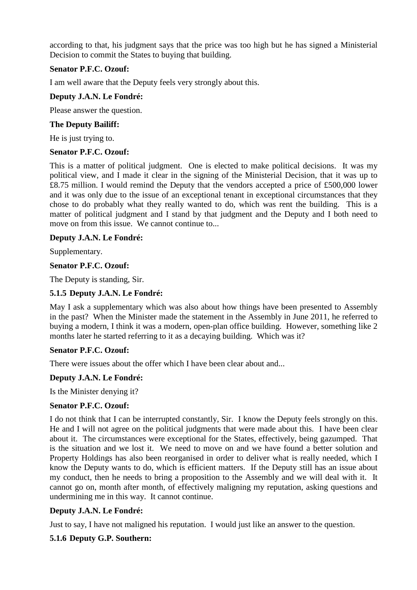according to that, his judgment says that the price was too high but he has signed a Ministerial Decision to commit the States to buying that building.

## **Senator P.F.C. Ozouf:**

I am well aware that the Deputy feels very strongly about this.

## **Deputy J.A.N. Le Fondré:**

Please answer the question.

#### **The Deputy Bailiff:**

He is just trying to.

#### **Senator P.F.C. Ozouf:**

This is a matter of political judgment. One is elected to make political decisions. It was my political view, and I made it clear in the signing of the Ministerial Decision, that it was up to £8.75 million. I would remind the Deputy that the vendors accepted a price of £500,000 lower and it was only due to the issue of an exceptional tenant in exceptional circumstances that they chose to do probably what they really wanted to do, which was rent the building. This is a matter of political judgment and I stand by that judgment and the Deputy and I both need to move on from this issue. We cannot continue to...

## **Deputy J.A.N. Le Fondré:**

Supplementary.

#### **Senator P.F.C. Ozouf:**

The Deputy is standing, Sir.

## **5.1.5 Deputy J.A.N. Le Fondré:**

May I ask a supplementary which was also about how things have been presented to Assembly in the past? When the Minister made the statement in the Assembly in June 2011, he referred to buying a modern, I think it was a modern, open-plan office building. However, something like 2 months later he started referring to it as a decaying building. Which was it?

#### **Senator P.F.C. Ozouf:**

There were issues about the offer which I have been clear about and...

## **Deputy J.A.N. Le Fondré:**

Is the Minister denying it?

#### **Senator P.F.C. Ozouf:**

I do not think that I can be interrupted constantly, Sir. I know the Deputy feels strongly on this. He and I will not agree on the political judgments that were made about this. I have been clear about it. The circumstances were exceptional for the States, effectively, being gazumped. That is the situation and we lost it. We need to move on and we have found a better solution and Property Holdings has also been reorganised in order to deliver what is really needed, which I know the Deputy wants to do, which is efficient matters. If the Deputy still has an issue about my conduct, then he needs to bring a proposition to the Assembly and we will deal with it. It cannot go on, month after month, of effectively maligning my reputation, asking questions and undermining me in this way. It cannot continue.

## **Deputy J.A.N. Le Fondré:**

Just to say, I have not maligned his reputation. I would just like an answer to the question.

## **5.1.6 Deputy G.P. Southern:**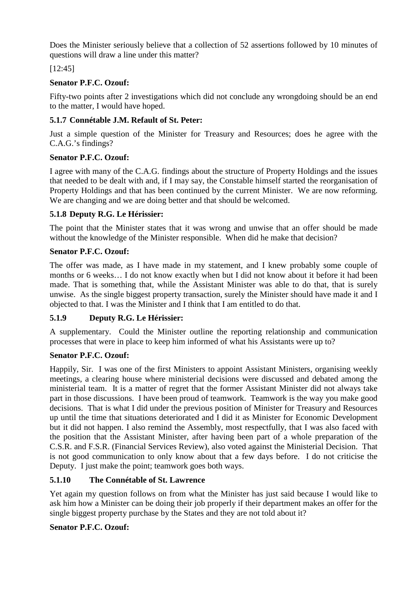Does the Minister seriously believe that a collection of 52 assertions followed by 10 minutes of questions will draw a line under this matter?

[12:45]

# **Senator P.F.C. Ozouf:**

Fifty-two points after 2 investigations which did not conclude any wrongdoing should be an end to the matter, I would have hoped.

# **5.1.7 Connétable J.M. Refault of St. Peter:**

Just a simple question of the Minister for Treasury and Resources; does he agree with the C.A.G.'s findings?

# **Senator P.F.C. Ozouf:**

I agree with many of the C.A.G. findings about the structure of Property Holdings and the issues that needed to be dealt with and, if I may say, the Constable himself started the reorganisation of Property Holdings and that has been continued by the current Minister. We are now reforming. We are changing and we are doing better and that should be welcomed.

# **5.1.8 Deputy R.G. Le Hérissier:**

The point that the Minister states that it was wrong and unwise that an offer should be made without the knowledge of the Minister responsible. When did he make that decision?

# **Senator P.F.C. Ozouf:**

The offer was made, as I have made in my statement, and I knew probably some couple of months or 6 weeks… I do not know exactly when but I did not know about it before it had been made. That is something that, while the Assistant Minister was able to do that, that is surely unwise. As the single biggest property transaction, surely the Minister should have made it and I objected to that. I was the Minister and I think that I am entitled to do that.

## **5.1.9 Deputy R.G. Le Hérissier:**

A supplementary. Could the Minister outline the reporting relationship and communication processes that were in place to keep him informed of what his Assistants were up to?

## **Senator P.F.C. Ozouf:**

Happily, Sir. I was one of the first Ministers to appoint Assistant Ministers, organising weekly meetings, a clearing house where ministerial decisions were discussed and debated among the ministerial team. It is a matter of regret that the former Assistant Minister did not always take part in those discussions. I have been proud of teamwork. Teamwork is the way you make good decisions. That is what I did under the previous position of Minister for Treasury and Resources up until the time that situations deteriorated and I did it as Minister for Economic Development but it did not happen. I also remind the Assembly, most respectfully, that I was also faced with the position that the Assistant Minister, after having been part of a whole preparation of the C.S.R. and F.S.R. (Financial Services Review), also voted against the Ministerial Decision. That is not good communication to only know about that a few days before. I do not criticise the Deputy. I just make the point; teamwork goes both ways.

# **5.1.10 The Connétable of St. Lawrence**

Yet again my question follows on from what the Minister has just said because I would like to ask him how a Minister can be doing their job properly if their department makes an offer for the single biggest property purchase by the States and they are not told about it?

# **Senator P.F.C. Ozouf:**